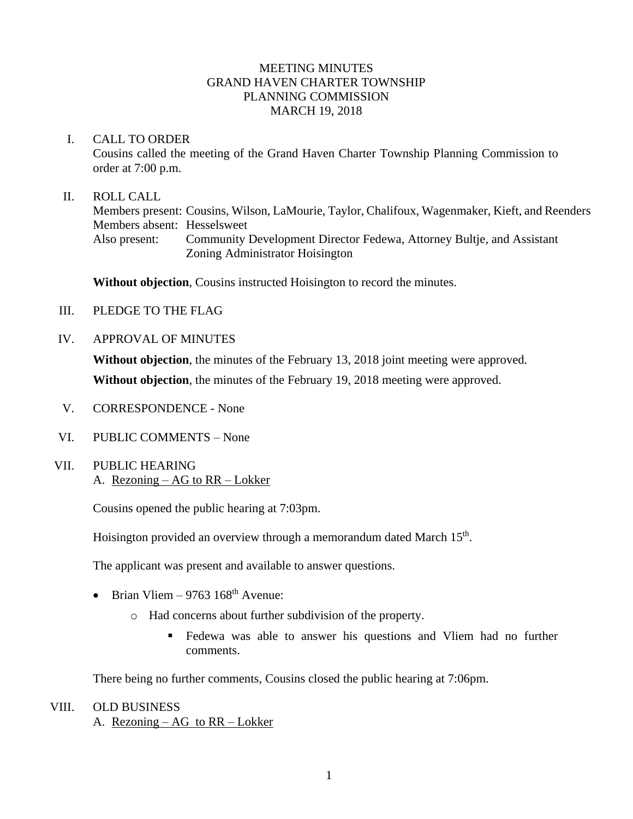## MEETING MINUTES GRAND HAVEN CHARTER TOWNSHIP PLANNING COMMISSION MARCH 19, 2018

#### I. CALL TO ORDER

Cousins called the meeting of the Grand Haven Charter Township Planning Commission to order at 7:00 p.m.

### II. ROLL CALL

Members present: Cousins, Wilson, LaMourie, Taylor, Chalifoux, Wagenmaker, Kieft, and Reenders Members absent: Hesselsweet Also present: Community Development Director Fedewa, Attorney Bultje, and Assistant Zoning Administrator Hoisington

**Without objection**, Cousins instructed Hoisington to record the minutes.

- III. PLEDGE TO THE FLAG
- IV. APPROVAL OF MINUTES

**Without objection**, the minutes of the February 13, 2018 joint meeting were approved. **Without objection**, the minutes of the February 19, 2018 meeting were approved.

- V. CORRESPONDENCE None
- VI. PUBLIC COMMENTS None
- VII. PUBLIC HEARING A. Rezoning – AG to RR – Lokker

Cousins opened the public hearing at 7:03pm.

Hoisington provided an overview through a memorandum dated March 15<sup>th</sup>.

The applicant was present and available to answer questions.

- Brian Vliem 9763  $168<sup>th</sup>$  Avenue:
	- o Had concerns about further subdivision of the property.
		- Fedewa was able to answer his questions and Vliem had no further comments.

There being no further comments, Cousins closed the public hearing at 7:06pm.

VIII. OLD BUSINESS A. Rezoning – AG to RR – Lokker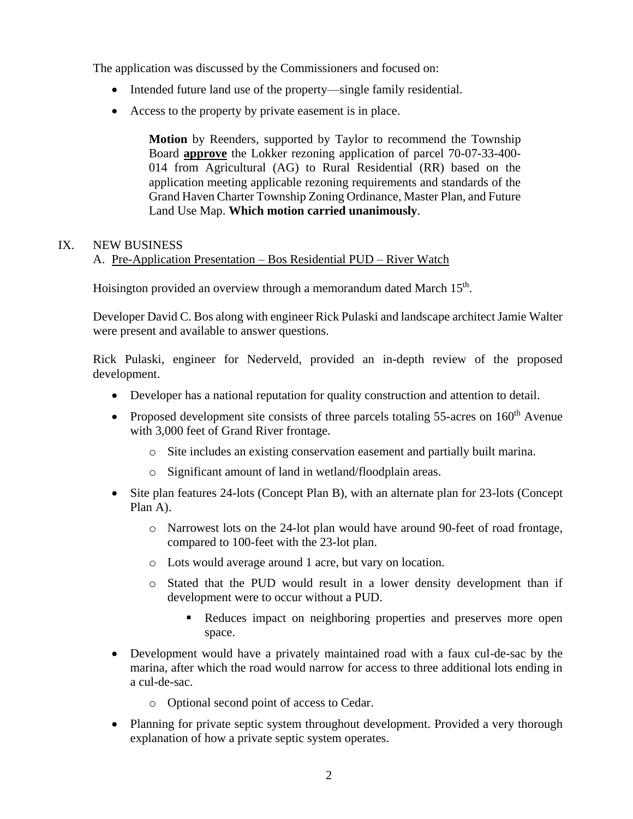The application was discussed by the Commissioners and focused on:

- Intended future land use of the property—single family residential.
- Access to the property by private easement is in place.

**Motion** by Reenders, supported by Taylor to recommend the Township Board **approve** the Lokker rezoning application of parcel 70-07-33-400- 014 from Agricultural (AG) to Rural Residential (RR) based on the application meeting applicable rezoning requirements and standards of the Grand Haven Charter Township Zoning Ordinance, Master Plan, and Future Land Use Map. **Which motion carried unanimously**.

# IX. NEW BUSINESS

A. Pre-Application Presentation – Bos Residential PUD – River Watch

Hoisington provided an overview through a memorandum dated March 15<sup>th</sup>.

Developer David C. Bos along with engineer Rick Pulaski and landscape architect Jamie Walter were present and available to answer questions.

Rick Pulaski, engineer for Nederveld, provided an in-depth review of the proposed development.

- Developer has a national reputation for quality construction and attention to detail.
- Proposed development site consists of three parcels totaling  $55$ -acres on  $160<sup>th</sup>$  Avenue with 3,000 feet of Grand River frontage.
	- o Site includes an existing conservation easement and partially built marina.
	- o Significant amount of land in wetland/floodplain areas.
- Site plan features 24-lots (Concept Plan B), with an alternate plan for 23-lots (Concept Plan A).
	- o Narrowest lots on the 24-lot plan would have around 90-feet of road frontage, compared to 100-feet with the 23-lot plan.
	- o Lots would average around 1 acre, but vary on location.
	- o Stated that the PUD would result in a lower density development than if development were to occur without a PUD.
		- Reduces impact on neighboring properties and preserves more open space.
- Development would have a privately maintained road with a faux cul-de-sac by the marina, after which the road would narrow for access to three additional lots ending in a cul-de-sac.
	- o Optional second point of access to Cedar.
- Planning for private septic system throughout development. Provided a very thorough explanation of how a private septic system operates.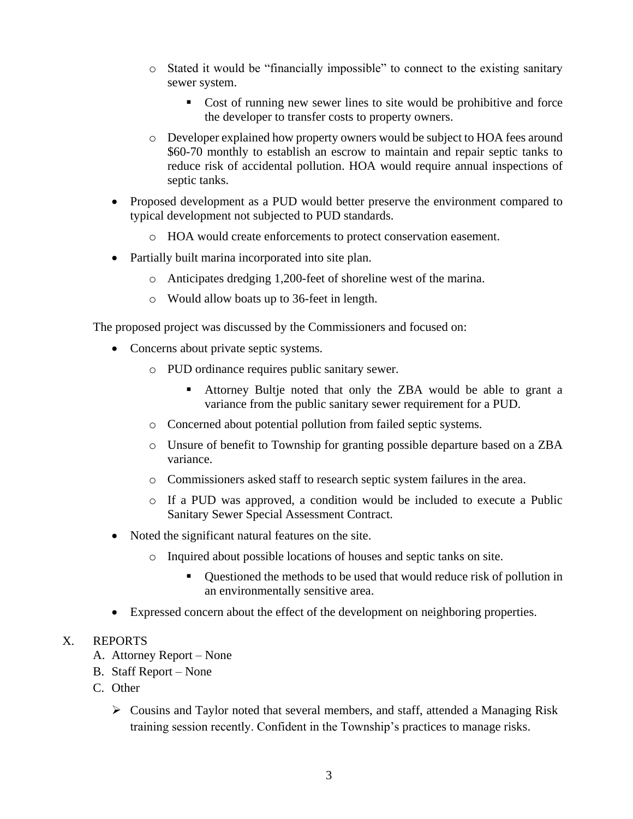- o Stated it would be "financially impossible" to connect to the existing sanitary sewer system.
	- Cost of running new sewer lines to site would be prohibitive and force the developer to transfer costs to property owners.
- o Developer explained how property owners would be subject to HOA fees around \$60-70 monthly to establish an escrow to maintain and repair septic tanks to reduce risk of accidental pollution. HOA would require annual inspections of septic tanks.
- Proposed development as a PUD would better preserve the environment compared to typical development not subjected to PUD standards.
	- o HOA would create enforcements to protect conservation easement.
- Partially built marina incorporated into site plan.
	- o Anticipates dredging 1,200-feet of shoreline west of the marina.
	- o Would allow boats up to 36-feet in length.

The proposed project was discussed by the Commissioners and focused on:

- Concerns about private septic systems.
	- o PUD ordinance requires public sanitary sewer.
		- Attorney Bultje noted that only the ZBA would be able to grant a variance from the public sanitary sewer requirement for a PUD.
	- o Concerned about potential pollution from failed septic systems.
	- o Unsure of benefit to Township for granting possible departure based on a ZBA variance.
	- o Commissioners asked staff to research septic system failures in the area.
	- o If a PUD was approved, a condition would be included to execute a Public Sanitary Sewer Special Assessment Contract.
- Noted the significant natural features on the site.
	- o Inquired about possible locations of houses and septic tanks on site.
		- Questioned the methods to be used that would reduce risk of pollution in an environmentally sensitive area.
- Expressed concern about the effect of the development on neighboring properties.

## X. REPORTS

- A. Attorney Report None
- B. Staff Report None
- C. Other
	- ➢ Cousins and Taylor noted that several members, and staff, attended a Managing Risk training session recently. Confident in the Township's practices to manage risks.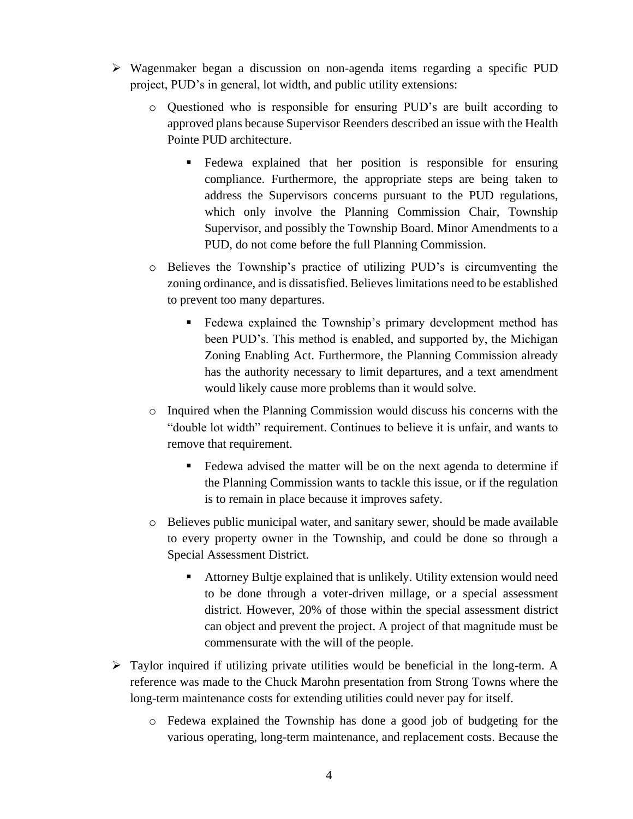- ➢ Wagenmaker began a discussion on non-agenda items regarding a specific PUD project, PUD's in general, lot width, and public utility extensions:
	- o Questioned who is responsible for ensuring PUD's are built according to approved plans because Supervisor Reenders described an issue with the Health Pointe PUD architecture.
		- Fedewa explained that her position is responsible for ensuring compliance. Furthermore, the appropriate steps are being taken to address the Supervisors concerns pursuant to the PUD regulations, which only involve the Planning Commission Chair, Township Supervisor, and possibly the Township Board. Minor Amendments to a PUD, do not come before the full Planning Commission.
	- o Believes the Township's practice of utilizing PUD's is circumventing the zoning ordinance, and is dissatisfied. Believes limitations need to be established to prevent too many departures.
		- **Example 1** Fedewa explained the Township's primary development method has been PUD's. This method is enabled, and supported by, the Michigan Zoning Enabling Act. Furthermore, the Planning Commission already has the authority necessary to limit departures, and a text amendment would likely cause more problems than it would solve.
	- o Inquired when the Planning Commission would discuss his concerns with the "double lot width" requirement. Continues to believe it is unfair, and wants to remove that requirement.
		- Fedewa advised the matter will be on the next agenda to determine if the Planning Commission wants to tackle this issue, or if the regulation is to remain in place because it improves safety.
	- o Believes public municipal water, and sanitary sewer, should be made available to every property owner in the Township, and could be done so through a Special Assessment District.
		- Attorney Bultje explained that is unlikely. Utility extension would need to be done through a voter-driven millage, or a special assessment district. However, 20% of those within the special assessment district can object and prevent the project. A project of that magnitude must be commensurate with the will of the people.
- ➢ Taylor inquired if utilizing private utilities would be beneficial in the long-term. A reference was made to the Chuck Marohn presentation from Strong Towns where the long-term maintenance costs for extending utilities could never pay for itself.
	- o Fedewa explained the Township has done a good job of budgeting for the various operating, long-term maintenance, and replacement costs. Because the